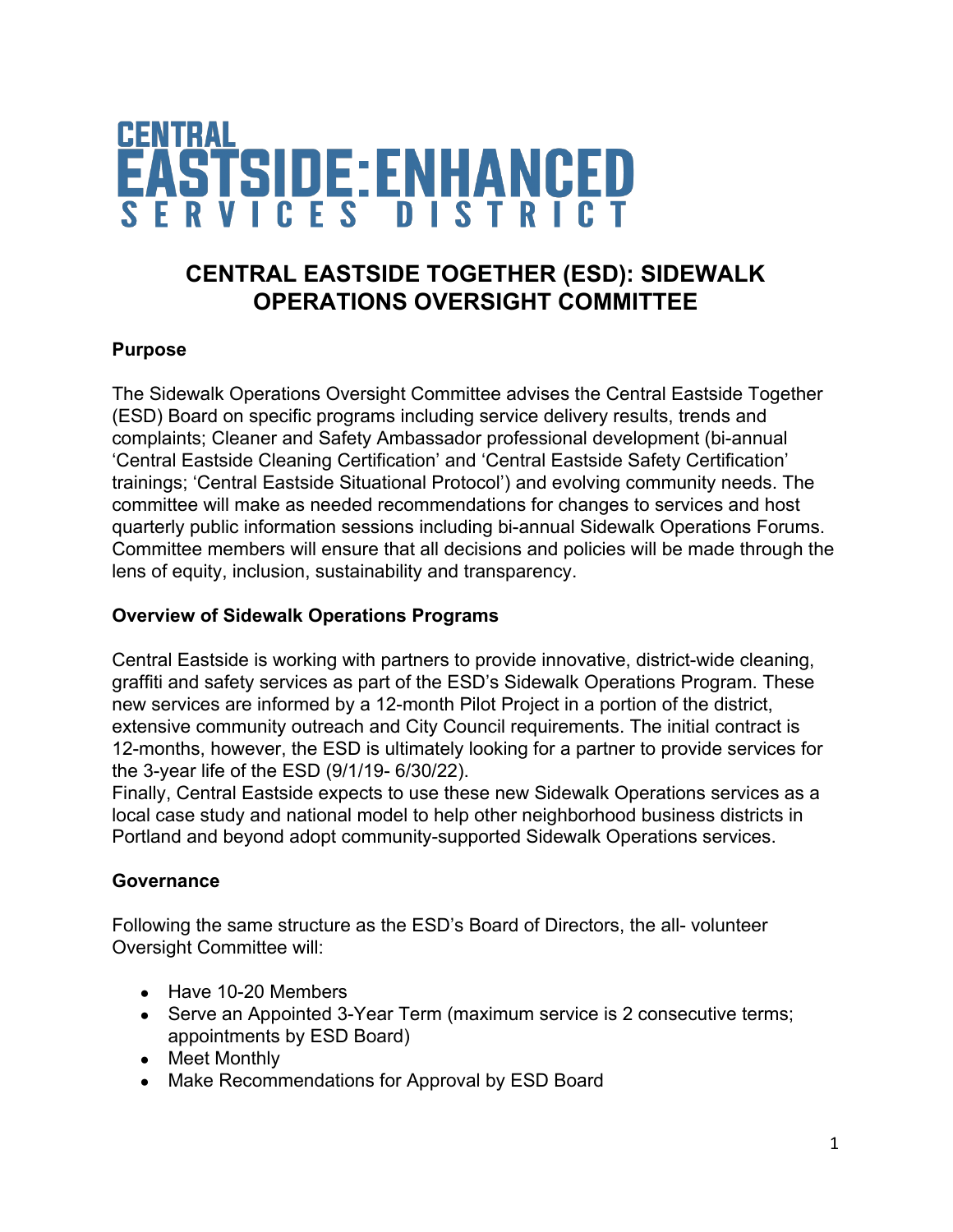

# **CENTRAL EASTSIDE TOGETHER (ESD): SIDEWALK OPERATIONS OVERSIGHT COMMITTEE**

# **Purpose**

The Sidewalk Operations Oversight Committee advises the Central Eastside Together (ESD) Board on specific programs including service delivery results, trends and complaints; Cleaner and Safety Ambassador professional development (bi-annual 'Central Eastside Cleaning Certification' and 'Central Eastside Safety Certification' trainings; 'Central Eastside Situational Protocol') and evolving community needs. The committee will make as needed recommendations for changes to services and host quarterly public information sessions including bi-annual Sidewalk Operations Forums. Committee members will ensure that all decisions and policies will be made through the lens of equity, inclusion, sustainability and transparency.

### **Overview of Sidewalk Operations Programs**

Central Eastside is working with partners to provide innovative, district-wide cleaning, graffiti and safety services as part of the ESD's Sidewalk Operations Program. These new services are informed by a 12-month Pilot Project in a portion of the district, extensive community outreach and City Council requirements. The initial contract is 12-months, however, the ESD is ultimately looking for a partner to provide services for the 3-year life of the ESD (9/1/19- 6/30/22).

Finally, Central Eastside expects to use these new Sidewalk Operations services as a local case study and national model to help other neighborhood business districts in Portland and beyond adopt community-supported Sidewalk Operations services.

#### **Governance**

Following the same structure as the ESD's Board of Directors, the all- volunteer Oversight Committee will:

- Have 10-20 Members
- Serve an Appointed 3-Year Term (maximum service is 2 consecutive terms; appointments by ESD Board)
- Meet Monthly
- Make Recommendations for Approval by ESD Board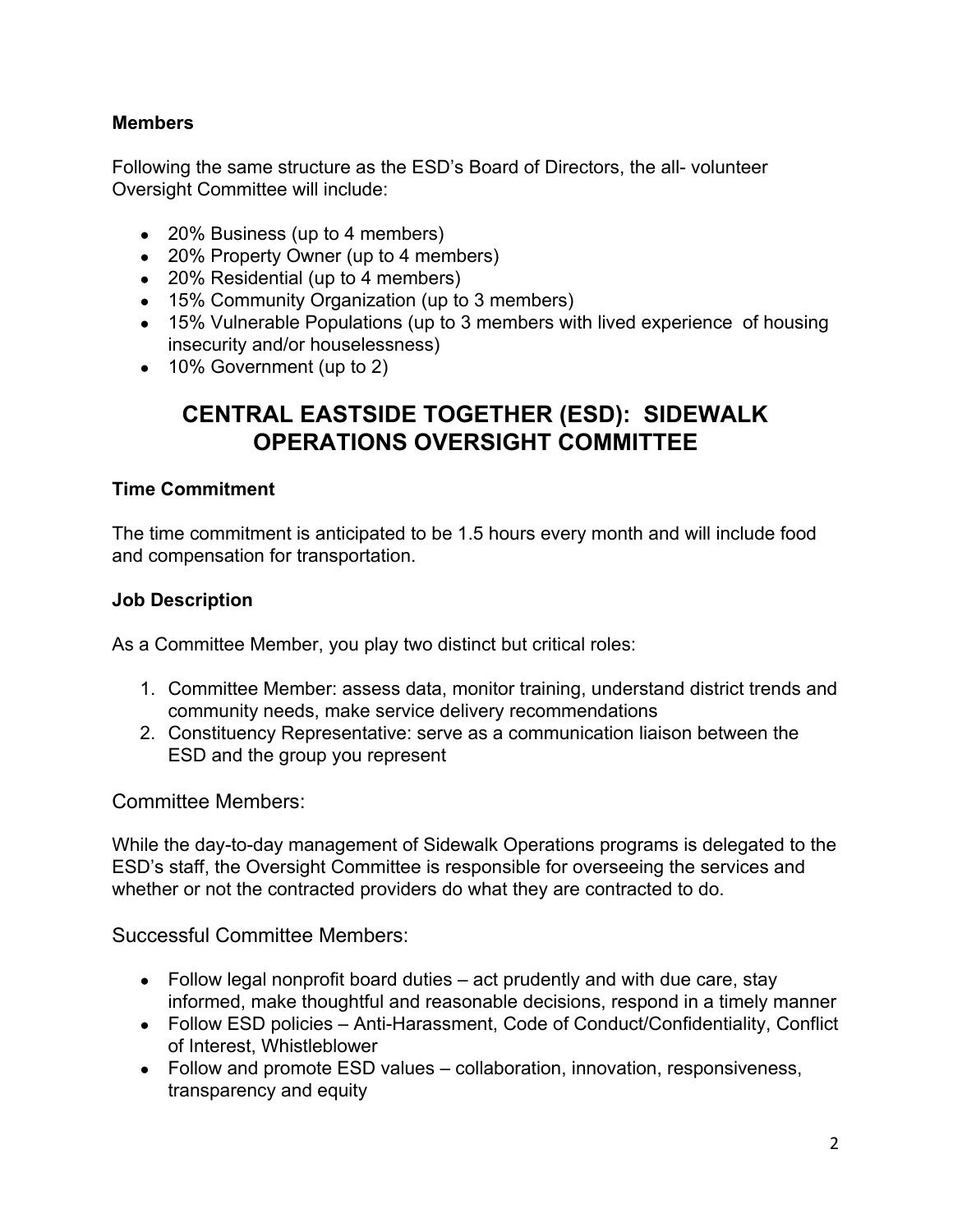# **Members**

Following the same structure as the ESD's Board of Directors, the all- volunteer Oversight Committee will include:

- 20% Business (up to 4 members)
- 20% Property Owner (up to 4 members)
- 20% Residential (up to 4 members)
- 15% Community Organization (up to 3 members)
- 15% Vulnerable Populations (up to 3 members with lived experience of housing insecurity and/or houselessness)
- 10% Government (up to 2)

# **CENTRAL EASTSIDE TOGETHER (ESD): SIDEWALK OPERATIONS OVERSIGHT COMMITTEE**

### **Time Commitment**

The time commitment is anticipated to be 1.5 hours every month and will include food and compensation for transportation.

### **Job Description**

As a Committee Member, you play two distinct but critical roles:

- 1. Committee Member: assess data, monitor training, understand district trends and community needs, make service delivery recommendations
- 2. Constituency Representative: serve as a communication liaison between the ESD and the group you represent

Committee Members:

While the day-to-day management of Sidewalk Operations programs is delegated to the ESD's staff, the Oversight Committee is responsible for overseeing the services and whether or not the contracted providers do what they are contracted to do.

Successful Committee Members:

- $\bullet$  Follow legal nonprofit board duties  $-$  act prudently and with due care, stay informed, make thoughtful and reasonable decisions, respond in a timely manner
- Follow ESD policies Anti-Harassment, Code of Conduct/Confidentiality, Conflict of Interest, Whistleblower
- Follow and promote ESD values collaboration, innovation, responsiveness, transparency and equity